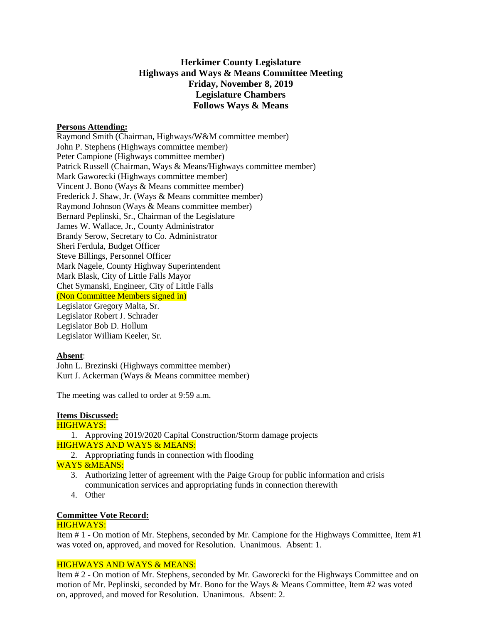# **Herkimer County Legislature Highways and Ways & Means Committee Meeting Friday, November 8, 2019 Legislature Chambers Follows Ways & Means**

#### **Persons Attending:**

Raymond Smith (Chairman, Highways/W&M committee member) John P. Stephens (Highways committee member) Peter Campione (Highways committee member) Patrick Russell (Chairman, Ways & Means/Highways committee member) Mark Gaworecki (Highways committee member) Vincent J. Bono (Ways & Means committee member) Frederick J. Shaw, Jr. (Ways & Means committee member) Raymond Johnson (Ways & Means committee member) Bernard Peplinski, Sr., Chairman of the Legislature James W. Wallace, Jr., County Administrator Brandy Serow, Secretary to Co. Administrator Sheri Ferdula, Budget Officer Steve Billings, Personnel Officer Mark Nagele, County Highway Superintendent Mark Blask, City of Little Falls Mayor Chet Symanski, Engineer, City of Little Falls (Non Committee Members signed in) Legislator Gregory Malta, Sr. Legislator Robert J. Schrader Legislator Bob D. Hollum Legislator William Keeler, Sr.

#### **Absent**:

John L. Brezinski (Highways committee member) Kurt J. Ackerman (Ways & Means committee member)

The meeting was called to order at 9:59 a.m.

# **Items Discussed:**

## HIGHWAYS:

1. Approving 2019/2020 Capital Construction/Storm damage projects HIGHWAYS AND WAYS & MEANS:

2. Appropriating funds in connection with flooding

#### WAYS &MEANS:

- 3. Authorizing letter of agreement with the Paige Group for public information and crisis communication services and appropriating funds in connection therewith
- 4. Other

# **Committee Vote Record:**

## HIGHWAYS:

Item # 1 - On motion of Mr. Stephens, seconded by Mr. Campione for the Highways Committee, Item #1 was voted on, approved, and moved for Resolution. Unanimous. Absent: 1.

## HIGHWAYS AND WAYS & MEANS:

Item # 2 - On motion of Mr. Stephens, seconded by Mr. Gaworecki for the Highways Committee and on motion of Mr. Peplinski, seconded by Mr. Bono for the Ways & Means Committee, Item #2 was voted on, approved, and moved for Resolution. Unanimous. Absent: 2.